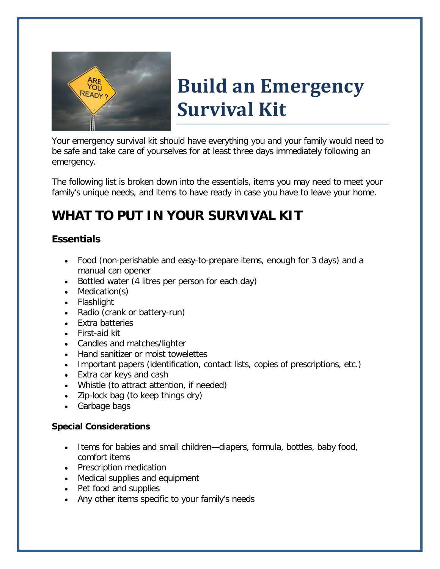

# **Build an Emergency Survival Kit**

Your emergency survival kit should have everything you and your family would need to be safe and take care of yourselves for at least three days immediately following an emergency.

The following list is broken down into the essentials, items you may need to meet your family's unique needs, and items to have ready in case you have to leave your home.

# *WHAT TO PUT IN YOUR SURVIVAL KIT*

## *Essentials*

- Food (non-perishable and easy-to-prepare items, enough for 3 days) and a manual can opener
- Bottled water (4 litres per person for each day)
- Medication(s)
- Flashlight
- Radio (crank or battery-run)
- Extra batteries
- First-aid kit
- Candles and matches/lighter
- Hand sanitizer or moist towelettes
- Important papers (identification, contact lists, copies of prescriptions, etc.)
- Extra car keys and cash
- Whistle (to attract attention, if needed)
- Zip-lock bag (to keep things dry)
- Garbage bags

### **Special Considerations**

- Items for babies and small children—diapers, formula, bottles, baby food, comfort items
- Prescription medication
- Medical supplies and equipment
- Pet food and supplies
- Any other items specific to your family's needs